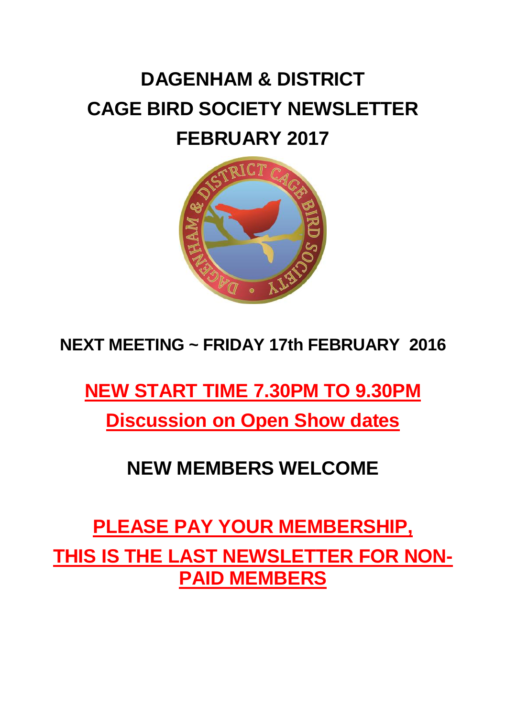# **DAGENHAM & DISTRICT CAGE BIRD SOCIETY NEWSLETTER FEBRUARY 2017**



### **NEXT MEETING ~ FRIDAY 17th FEBRUARY 2016**

## **NEW START TIME 7.30PM TO 9.30PM**

**Discussion on Open Show dates**

### **NEW MEMBERS WELCOME**

**PLEASE PAY YOUR MEMBERSHIP, THIS IS THE LAST NEWSLETTER FOR NON-PAID MEMBERS**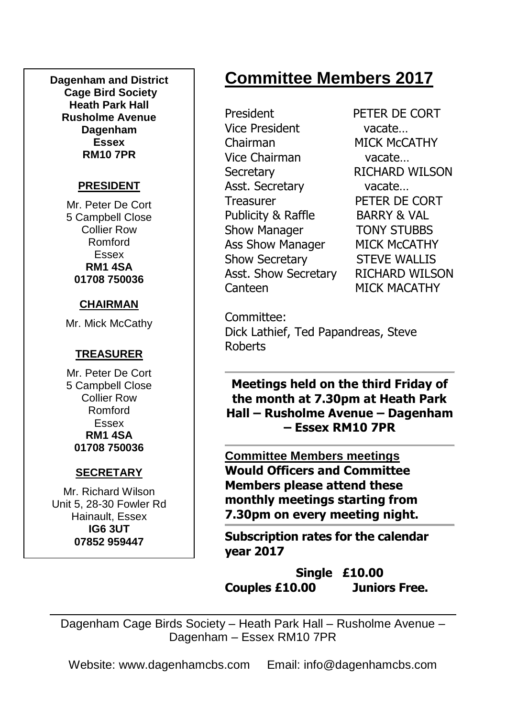**Dagenham and District Cage Bird Society Heath Park Hall Rusholme Avenue Dagenham Essex RM10 7PR**

#### **PRESIDENT**

Mr. Peter De Cort 5 Campbell Close Collier Row Romford Essex **RM1 4SA 01708 750036**

#### **CHAIRMAN**

Mr. Mick McCathy

### **TREASURER**

Mr. Peter De Cort 5 Campbell Close Collier Row Romford Essex **RM1 4SA 01708 750036**

#### **SECRETARY**

Mr. Richard Wilson Unit 5, 28-30 Fowler Rd Hainault, Essex **IG6 3UT 07852 959447**

## **Committee Members 2017**

President PETER DE CORT Vice President vacate… Chairman MICK McCATHY Vice Chairman vacate… Secretary RICHARD WILSON Asst. Secretary vacate… Treasurer PETER DE CORT Publicity & Raffle BARRY & VAL Show Manager **TONY STUBBS** Ass Show Manager MICK McCATHY Show Secretary STEVE WALLIS Asst. Show Secretary RICHARD WILSON Canteen MICK MACATHY

Committee: Dick Lathief, Ted Papandreas, Steve Roberts

**Meetings held on the third Friday of the month at 7.30pm at Heath Park Hall – Rusholme Avenue – Dagenham – Essex RM10 7PR**

**Committee Members meetings Would Officers and Committee Members please attend these monthly meetings starting from 7.30pm on every meeting night.**

**Subscription rates for the calendar year 2017**

**Single £10.00 Couples £10.00 Juniors Free.**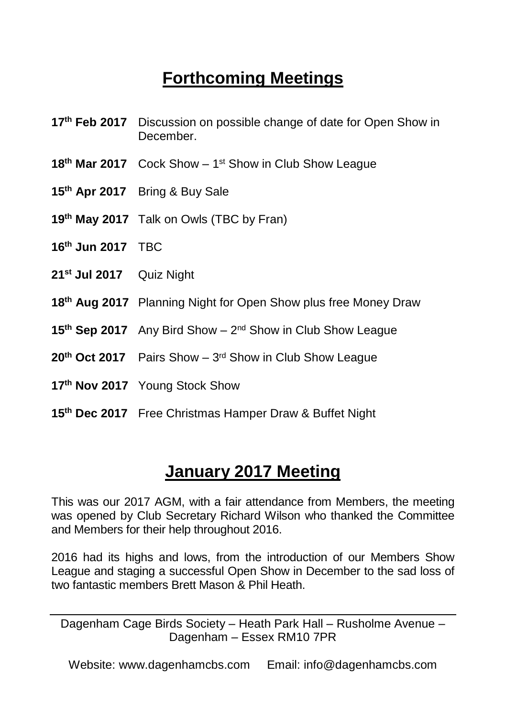## **Forthcoming Meetings**

- **17th Feb 2017** Discussion on possible change of date for Open Show in December.
- 18<sup>th</sup> Mar 2017 Cock Show 1<sup>st</sup> Show in Club Show League
- **15th Apr 2017** Bring & Buy Sale
- **19th May 2017** Talk on Owls (TBC by Fran)
- **16th Jun 2017** TBC
- **21st Jul 2017** Quiz Night
- **18th Aug 2017** Planning Night for Open Show plus free Money Draw
- 15<sup>th</sup> Sep 2017 Any Bird Show 2<sup>nd</sup> Show in Club Show League
- 20<sup>th</sup> Oct 2017 Pairs Show 3<sup>rd</sup> Show in Club Show League
- **17th Nov 2017** Young Stock Show
- **15th Dec 2017** Free Christmas Hamper Draw & Buffet Night

### **January 2017 Meeting**

This was our 2017 AGM, with a fair attendance from Members, the meeting was opened by Club Secretary Richard Wilson who thanked the Committee and Members for their help throughout 2016.

2016 had its highs and lows, from the introduction of our Members Show League and staging a successful Open Show in December to the sad loss of two fantastic members Brett Mason & Phil Heath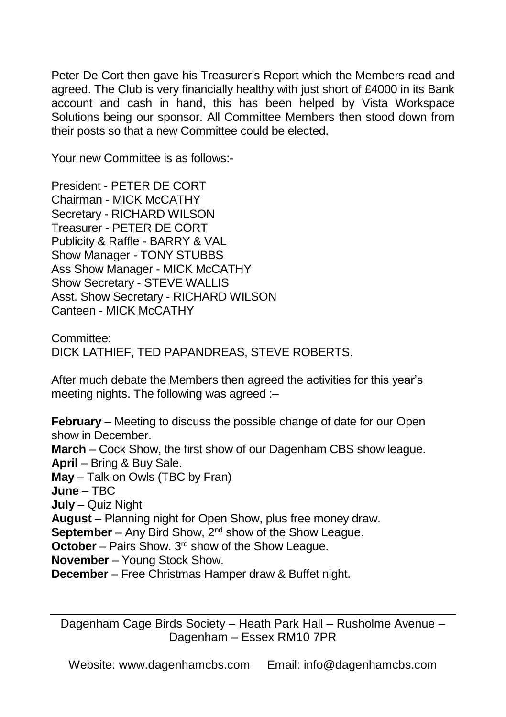Peter De Cort then gave his Treasurer's Report which the Members read and agreed. The Club is very financially healthy with just short of £4000 in its Bank account and cash in hand, this has been helped by Vista Workspace Solutions being our sponsor. All Committee Members then stood down from their posts so that a new Committee could be elected.

Your new Committee is as follows:-

President - PETER DE CORT Chairman - MICK McCATHY Secretary - RICHARD WILSON Treasurer - PETER DE CORT Publicity & Raffle - BARRY & VAL Show Manager - TONY STUBBS Ass Show Manager - MICK McCATHY Show Secretary - STEVE WALLIS Asst. Show Secretary - RICHARD WILSON Canteen - MICK McCATHY

Committee: DICK LATHIEF, TED PAPANDREAS, STEVE ROBERTS.

After much debate the Members then agreed the activities for this year's meeting nights. The following was agreed :–

**February** – Meeting to discuss the possible change of date for our Open show in December. **March** – Cock Show, the first show of our Dagenham CBS show league. **April** – Bring & Buy Sale. **May** – Talk on Owls (TBC by Fran) **June** – TBC **July** – Quiz Night **August** – Planning night for Open Show, plus free money draw. **September** – Any Bird Show, 2<sup>nd</sup> show of the Show League. **October** – Pairs Show. 3<sup>rd</sup> show of the Show League. **November** – Young Stock Show. **December** – Free Christmas Hamper draw & Buffet night.

Dagenham Cage Birds Society – Heath Park Hall – Rusholme Avenue – Dagenham – Essex RM10 7PR

Website: www.dagenhamcbs.com Email: info@dagenhamcbs.com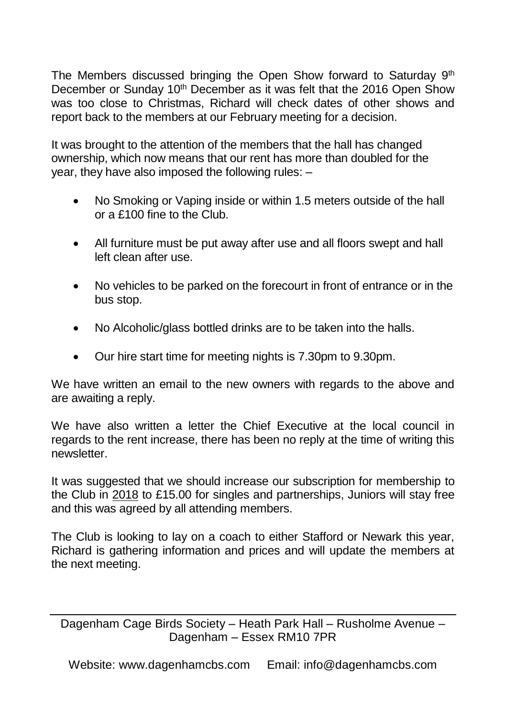The Members discussed bringing the Open Show forward to Saturday  $9<sup>th</sup>$ December or Sunday 10<sup>th</sup> December as it was felt that the 2016 Open Show was too close to Christmas, Richard will check dates of other shows and report back to the members at our February meeting for a decision.

It was brought to the attention of the members that the hall has changed ownership, which now means that our rent has more than doubled for the year, they have also imposed the following rules: –

- No Smoking or Vaping inside or within 1.5 meters outside of the hall or a £100 fine to the Club.
- All furniture must be put away after use and all floors swept and hall left clean after use.
- No vehicles to be parked on the forecourt in front of entrance or in the bus stop.
- No Alcoholic/glass bottled drinks are to be taken into the halls.
- Our hire start time for meeting nights is 7.30pm to 9.30pm.

We have written an email to the new owners with regards to the above and are awaiting a reply.

We have also written a letter the Chief Executive at the local council in regards to the rent increase, there has been no reply at the time of writing this newsletter.

It was suggested that we should increase our subscription for membership to the Club in 2018 to £15.00 for singles and partnerships, Juniors will stay free and this was agreed by all attending members.

The Club is looking to lay on a coach to either Stafford or Newark this year, Richard is gathering information and prices and will update the members at the next meeting.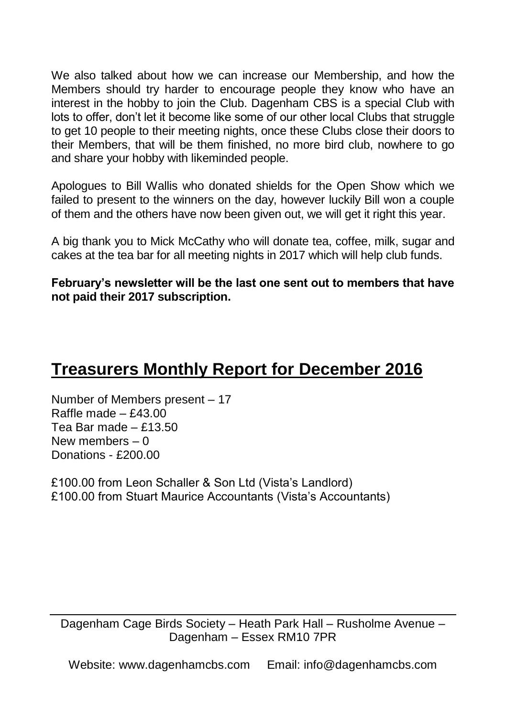We also talked about how we can increase our Membership, and how the Members should try harder to encourage people they know who have an interest in the hobby to join the Club. Dagenham CBS is a special Club with lots to offer, don't let it become like some of our other local Clubs that struggle to get 10 people to their meeting nights, once these Clubs close their doors to their Members, that will be them finished, no more bird club, nowhere to go and share your hobby with likeminded people.

Apologues to Bill Wallis who donated shields for the Open Show which we failed to present to the winners on the day, however luckily Bill won a couple of them and the others have now been given out, we will get it right this year.

A big thank you to Mick McCathy who will donate tea, coffee, milk, sugar and cakes at the tea bar for all meeting nights in 2017 which will help club funds.

**February's newsletter will be the last one sent out to members that have not paid their 2017 subscription.**

### **Treasurers Monthly Report for December 2016**

Number of Members present – 17 Raffle made – £43.00 Tea Bar made – £13.50 New members  $-0$ Donations - £200.00

£100.00 from Leon Schaller & Son Ltd (Vista's Landlord) £100.00 from Stuart Maurice Accountants (Vista's Accountants)